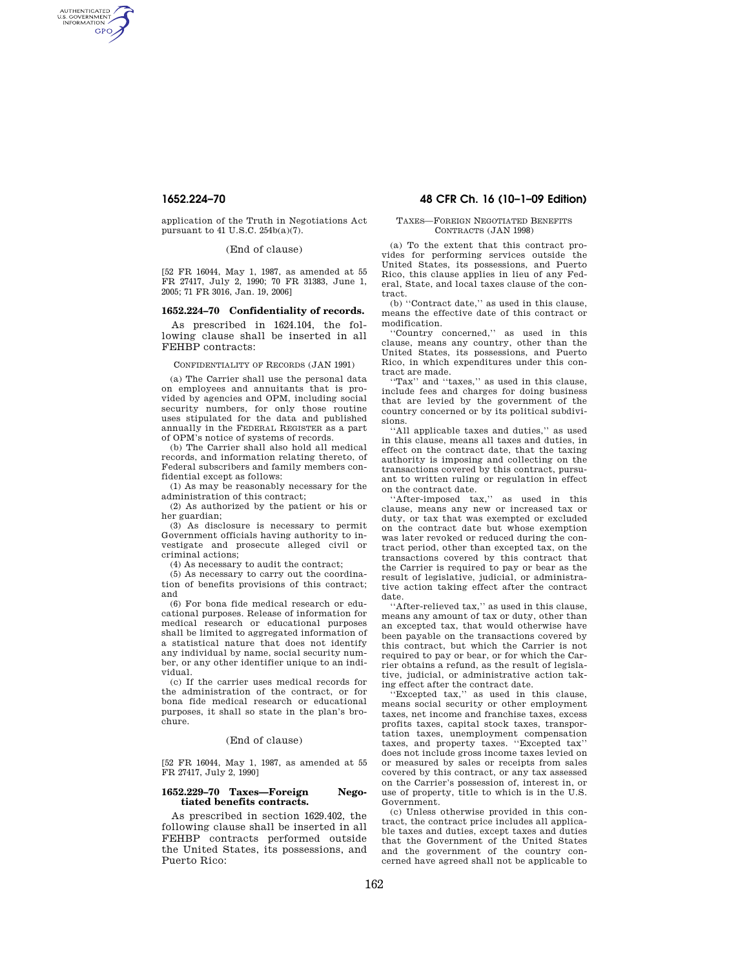AUTHENTICATED<br>U.S. GOVERNMENT<br>INFORMATION **GPO** 

> application of the Truth in Negotiations Act pursuant to 41 U.S.C. 254b(a)(7).

> > (End of clause)

[52 FR 16044, May 1, 1987, as amended at 55 FR 27417, July 2, 1990; 70 FR 31383, June 1, 2005; 71 FR 3016, Jan. 19, 2006]

# **1652.224–70 Confidentiality of records.**

As prescribed in 1624.104, the following clause shall be inserted in all FEHBP contracts:

## CONFIDENTIALITY OF RECORDS (JAN 1991)

(a) The Carrier shall use the personal data on employees and annuitants that is provided by agencies and OPM, including social security numbers, for only those routine uses stipulated for the data and published annually in the FEDERAL REGISTER as a part of OPM's notice of systems of records.

(b) The Carrier shall also hold all medical records, and information relating thereto, of Federal subscribers and family members confidential except as follows:

(1) As may be reasonably necessary for the administration of this contract;

(2) As authorized by the patient or his or her guardian;

(3) As disclosure is necessary to permit Government officials having authority to investigate and prosecute alleged civil or criminal actions;

(4) As necessary to audit the contract;

(5) As necessary to carry out the coordination of benefits provisions of this contract; and

(6) For bona fide medical research or educational purposes. Release of information for medical research or educational purposes shall be limited to aggregated information of a statistical nature that does not identify any individual by name, social security number, or any other identifier unique to an individual.

(c) If the carrier uses medical records for the administration of the contract, or for bona fide medical research or educational purposes, it shall so state in the plan's brochure.

### (End of clause)

[52 FR 16044, May 1, 1987, as amended at 55 FR 27417, July 2, 1990]

## **1652.229–70 Taxes—Foreign Negotiated benefits contracts.**

As prescribed in section 1629.402, the following clause shall be inserted in all FEHBP contracts performed outside the United States, its possessions, and Puerto Rico:

# **1652.224–70 48 CFR Ch. 16 (10–1–09 Edition)**

## TAXES—FOREIGN NEGOTIATED BENEFITS CONTRACTS (JAN 1998)

(a) To the extent that this contract provides for performing services outside the United States, its possessions, and Puerto Rico, this clause applies in lieu of any Federal, State, and local taxes clause of the contract.

(b) ''Contract date,'' as used in this clause, means the effective date of this contract or modification.

''Country concerned,'' as used in this clause, means any country, other than the United States, its possessions, and Puerto Rico, in which expenditures under this contract are made.

''Tax'' and ''taxes,'' as used in this clause, include fees and charges for doing business that are levied by the government of the country concerned or by its political subdivisions.

''All applicable taxes and duties,'' as used in this clause, means all taxes and duties, in effect on the contract date, that the taxing authority is imposing and collecting on the transactions covered by this contract, pursuant to written ruling or regulation in effect on the contract date.

''After-imposed tax,'' as used in this clause, means any new or increased tax or duty, or tax that was exempted or excluded on the contract date but whose exemption was later revoked or reduced during the contract period, other than excepted tax, on the transactions covered by this contract that the Carrier is required to pay or bear as the result of legislative, judicial, or administrative action taking effect after the contract date.

''After-relieved tax,'' as used in this clause, means any amount of tax or duty, other than an excepted tax, that would otherwise have been payable on the transactions covered by this contract, but which the Carrier is not required to pay or bear, or for which the Carrier obtains a refund, as the result of legislative, judicial, or administrative action taking effect after the contract date.

''Excepted tax,'' as used in this clause, means social security or other employment taxes, net income and franchise taxes, excess profits taxes, capital stock taxes, transportation taxes, unemployment compensation taxes, and property taxes. ''Excepted tax'' does not include gross income taxes levied on or measured by sales or receipts from sales covered by this contract, or any tax assessed on the Carrier's possession of, interest in, or use of property, title to which is in the U.S. Government.

(c) Unless otherwise provided in this contract, the contract price includes all applicable taxes and duties, except taxes and duties that the Government of the United States and the government of the country concerned have agreed shall not be applicable to